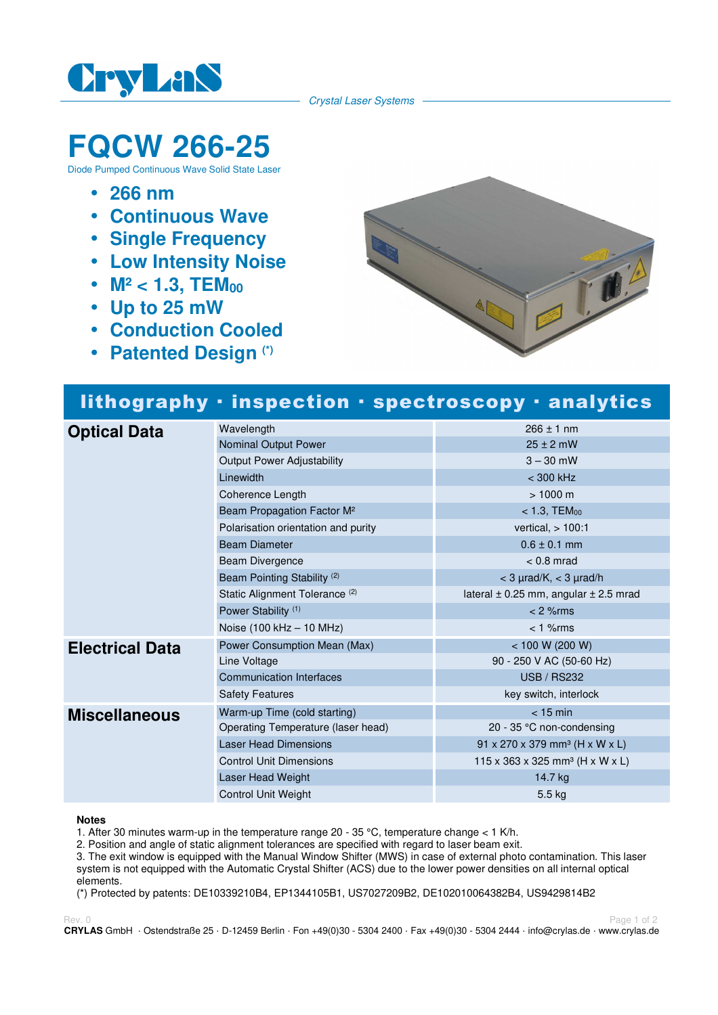

Crystal Laser Systems

# **FQCW 266-25**

Diode Pumped Continuous Wave Solid State Laser

- **266 nm**
- **Continuous Wave**
- **Single Frequency**
- **Low Intensity Noise**
- M<sup>2</sup> < 1.3, TEM<sub>00</sub>
- **Up to 25 mW**
- **Conduction Cooled**
- **Patented Design (\*)**



## lithography · inspection · spectroscopy · analytics

| <b>Optical Data</b>    | Wavelength                                | $266 \pm 1$ nm                                         |
|------------------------|-------------------------------------------|--------------------------------------------------------|
|                        | Nominal Output Power                      | $25 \pm 2$ mW                                          |
|                        | Output Power Adjustability                | $3 - 30$ mW                                            |
|                        | Linewidth                                 | $<$ 300 kHz                                            |
|                        | Coherence Length                          | $> 1000 \text{ m}$                                     |
|                        | Beam Propagation Factor M <sup>2</sup>    | $< 1.3,$ TEM $_{00}$                                   |
|                        | Polarisation orientation and purity       | vertical, $> 100:1$                                    |
|                        | <b>Beam Diameter</b>                      | $0.6 \pm 0.1$ mm                                       |
|                        | <b>Beam Divergence</b>                    | $< 0.8$ mrad                                           |
|                        | Beam Pointing Stability <sup>(2)</sup>    | $<$ 3 $\mu$ rad/K, $<$ 3 $\mu$ rad/h                   |
|                        | Static Alignment Tolerance <sup>(2)</sup> | lateral $\pm$ 0.25 mm, angular $\pm$ 2.5 mrad          |
|                        | Power Stability <sup>(1)</sup>            | $< 2$ % rms                                            |
|                        | Noise (100 kHz - 10 MHz)                  | $< 1$ % $rms$                                          |
| <b>Electrical Data</b> | Power Consumption Mean (Max)              | < 100 W (200 W)                                        |
|                        | Line Voltage                              | 90 - 250 V AC (50-60 Hz)                               |
|                        | <b>Communication Interfaces</b>           | <b>USB / RS232</b>                                     |
|                        | <b>Safety Features</b>                    | key switch, interlock                                  |
| <b>Miscellaneous</b>   | Warm-up Time (cold starting)              | $<$ 15 min                                             |
|                        | Operating Temperature (laser head)        | 20 - 35 $\degree$ C non-condensing                     |
|                        | <b>Laser Head Dimensions</b>              | $91 \times 270 \times 379$ mm <sup>3</sup> (H x W x L) |
|                        | <b>Control Unit Dimensions</b>            | 115 x 363 x 325 mm <sup>3</sup> (H x W x L)            |
|                        | Laser Head Weight                         | 14.7 kg                                                |
|                        | <b>Control Unit Weight</b>                | 5.5 kg                                                 |

#### **Notes**

1. After 30 minutes warm-up in the temperature range  $20 - 35$  °C, temperature change < 1 K/h.

2. Position and angle of static alignment tolerances are specified with regard to laser beam exit.

3. The exit window is equipped with the Manual Window Shifter (MWS) in case of external photo contamination. This laser system is not equipped with the Automatic Crystal Shifter (ACS) due to the lower power densities on all internal optical elements.

(\*) Protected by patents: DE10339210B4, EP1344105B1, US7027209B2, DE102010064382B4, US9429814B2

Rev. 0 Page 1 of 2 **CRYLAS** GmbH · Ostendstraße 25 · D-12459 Berlin · Fon +49(0)30 - 5304 2400 · Fax +49(0)30 - 5304 2444 · info@crylas.de · www.crylas.de